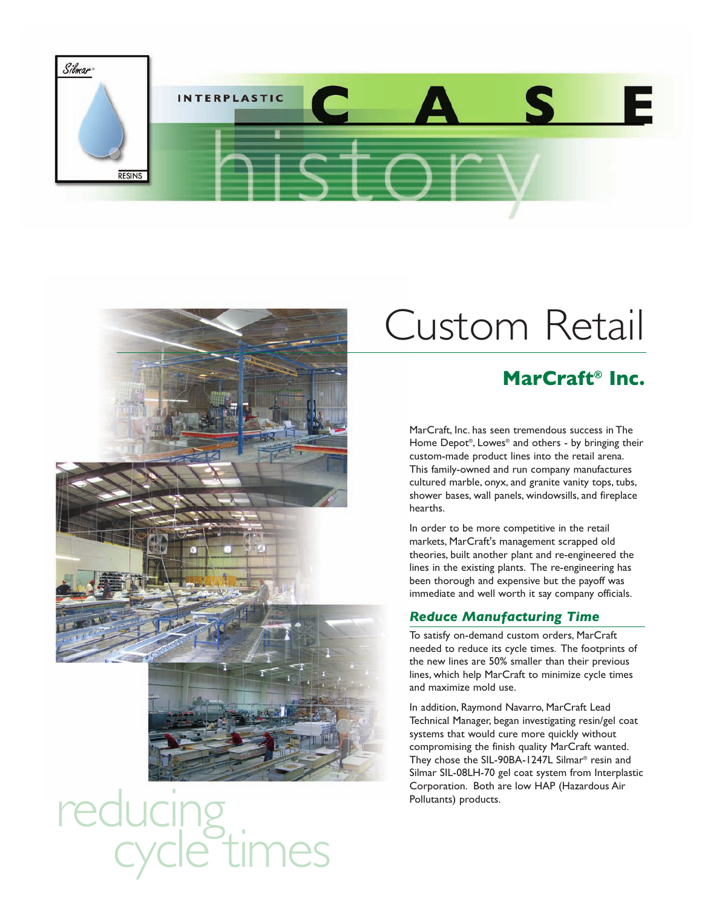



# reducing<br>cycle times

### Custom Retail

#### **MarCraft® Inc.**

MarCraft, Inc. has seen tremendous success in The Home Depot®, Lowes® and others - by bringing their custom-made product lines into the retail arena. This family-owned and run company manufactures cultured marble, onyx, and granite vanity tops, tubs, shower bases, wall panels, windowsills, and fireplace hearths.

In order to be more competitive in the retail markets, MarCraft's management scrapped old theories, built another plant and re-engineered the lines in the existing plants. The re-engineering has been thorough and expensive but the payoff was immediate and well worth it say company officials.

#### *Reduce Manufacturing Time*

To satisfy on-demand custom orders, MarCraft needed to reduce its cycle times. The footprints of the new lines are 50% smaller than their previous lines, which help MarCraft to minimize cycle times and maximize mold use.

In addition, Raymond Navarro, MarCraft Lead Technical Manager, began investigating resin/gel coat systems that would cure more quickly without compromising the finish quality MarCraft wanted. They chose the SIL-90BA-1247L Silmar® resin and Silmar SIL-08LH-70 gel coat system from Interplastic Corporation. Both are low HAP (Hazardous Air Pollutants) products.